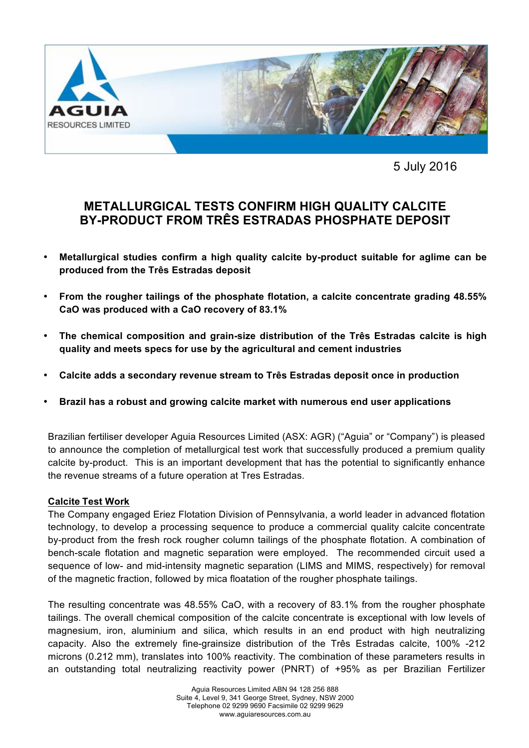

5 July 2016

# **METALLURGICAL TESTS CONFIRM HIGH QUALITY CALCITE BY-PRODUCT FROM TRÊS ESTRADAS PHOSPHATE DEPOSIT**

- **Metallurgical studies confirm a high quality calcite by-product suitable for aglime can be produced from the Três Estradas deposit**
- **From the rougher tailings of the phosphate flotation, a calcite concentrate grading 48.55% CaO was produced with a CaO recovery of 83.1%**
- **The chemical composition and grain-size distribution of the Três Estradas calcite is high quality and meets specs for use by the agricultural and cement industries**
- **Calcite adds a secondary revenue stream to Três Estradas deposit once in production**
- **Brazil has a robust and growing calcite market with numerous end user applications**

Brazilian fertiliser developer Aguia Resources Limited (ASX: AGR) ("Aguia" or "Company") is pleased to announce the completion of metallurgical test work that successfully produced a premium quality calcite by-product. This is an important development that has the potential to significantly enhance the revenue streams of a future operation at Tres Estradas.

# **Calcite Test Work**

The Company engaged Eriez Flotation Division of Pennsylvania, a world leader in advanced flotation technology, to develop a processing sequence to produce a commercial quality calcite concentrate by-product from the fresh rock rougher column tailings of the phosphate flotation. A combination of bench-scale flotation and magnetic separation were employed. The recommended circuit used a sequence of low- and mid-intensity magnetic separation (LIMS and MIMS, respectively) for removal of the magnetic fraction, followed by mica floatation of the rougher phosphate tailings.

The resulting concentrate was 48.55% CaO, with a recovery of 83.1% from the rougher phosphate tailings. The overall chemical composition of the calcite concentrate is exceptional with low levels of magnesium, iron, aluminium and silica, which results in an end product with high neutralizing capacity. Also the extremely fine-grainsize distribution of the Três Estradas calcite, 100% -212 microns (0.212 mm), translates into 100% reactivity. The combination of these parameters results in an outstanding total neutralizing reactivity power (PNRT) of +95% as per Brazilian Fertilizer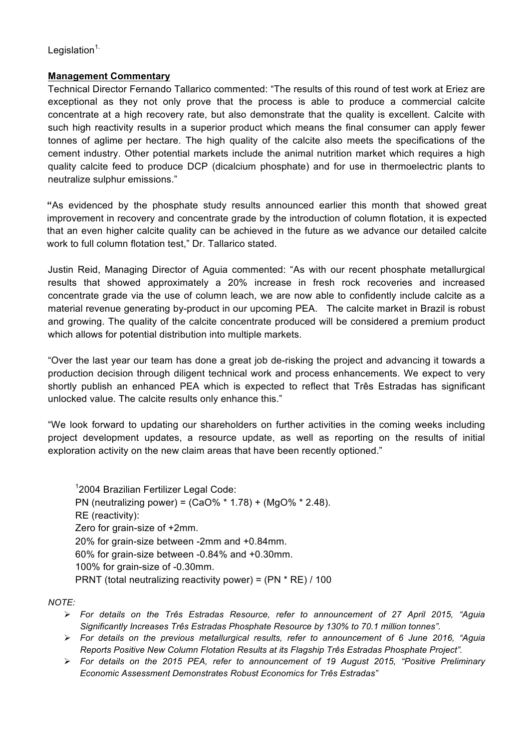Legislation $1$ .

# **Management Commentary**

Technical Director Fernando Tallarico commented: "The results of this round of test work at Eriez are exceptional as they not only prove that the process is able to produce a commercial calcite concentrate at a high recovery rate, but also demonstrate that the quality is excellent. Calcite with such high reactivity results in a superior product which means the final consumer can apply fewer tonnes of aglime per hectare. The high quality of the calcite also meets the specifications of the cement industry. Other potential markets include the animal nutrition market which requires a high quality calcite feed to produce DCP (dicalcium phosphate) and for use in thermoelectric plants to neutralize sulphur emissions."

**"**As evidenced by the phosphate study results announced earlier this month that showed great improvement in recovery and concentrate grade by the introduction of column flotation, it is expected that an even higher calcite quality can be achieved in the future as we advance our detailed calcite work to full column flotation test," Dr. Tallarico stated.

Justin Reid, Managing Director of Aguia commented: "As with our recent phosphate metallurgical results that showed approximately a 20% increase in fresh rock recoveries and increased concentrate grade via the use of column leach, we are now able to confidently include calcite as a material revenue generating by-product in our upcoming PEA. The calcite market in Brazil is robust and growing. The quality of the calcite concentrate produced will be considered a premium product which allows for potential distribution into multiple markets.

"Over the last year our team has done a great job de-risking the project and advancing it towards a production decision through diligent technical work and process enhancements. We expect to very shortly publish an enhanced PEA which is expected to reflect that Três Estradas has significant unlocked value. The calcite results only enhance this."

"We look forward to updating our shareholders on further activities in the coming weeks including project development updates, a resource update, as well as reporting on the results of initial exploration activity on the new claim areas that have been recently optioned."

<sup>1</sup>2004 Brazilian Fertilizer Legal Code: PN (neutralizing power) = (CaO% \* 1.78) + (MgO% \* 2.48). RE (reactivity): Zero for grain-size of +2mm. 20% for grain-size between -2mm and +0.84mm. 60% for grain-size between -0.84% and +0.30mm. 100% for grain-size of -0.30mm. PRNT (total neutralizing reactivity power) = (PN \* RE) / 100

*NOTE:*

- Ø *For details on the Três Estradas Resource, refer to announcement of 27 April 2015, "Aguia Significantly Increases Três Estradas Phosphate Resource by 130% to 70.1 million tonnes".*
- Ø *For details on the previous metallurgical results, refer to announcement of 6 June 2016, "Aguia Reports Positive New Column Flotation Results at its Flagship Três Estradas Phosphate Project".*
- Ø *For details on the 2015 PEA, refer to announcement of 19 August 2015, "Positive Preliminary Economic Assessment Demonstrates Robust Economics for Três Estradas"*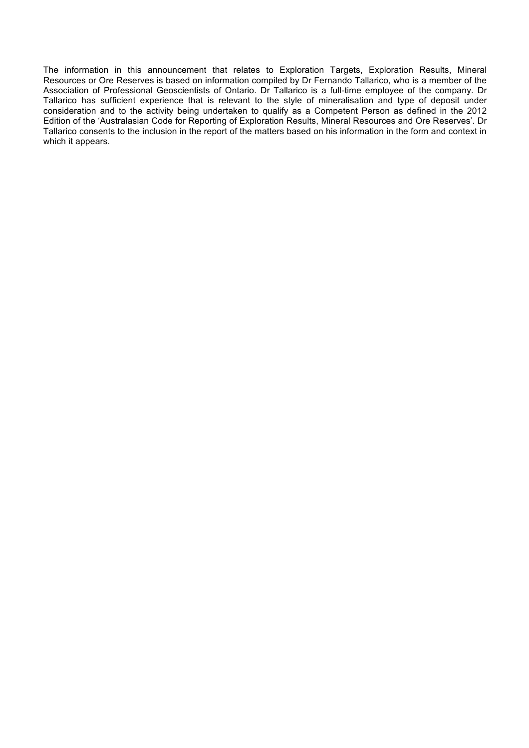The information in this announcement that relates to Exploration Targets, Exploration Results, Mineral Resources or Ore Reserves is based on information compiled by Dr Fernando Tallarico, who is a member of the Association of Professional Geoscientists of Ontario. Dr Tallarico is a full-time employee of the company. Dr Tallarico has sufficient experience that is relevant to the style of mineralisation and type of deposit under consideration and to the activity being undertaken to qualify as a Competent Person as defined in the 2012 Edition of the 'Australasian Code for Reporting of Exploration Results, Mineral Resources and Ore Reserves'. Dr Tallarico consents to the inclusion in the report of the matters based on his information in the form and context in which it appears.